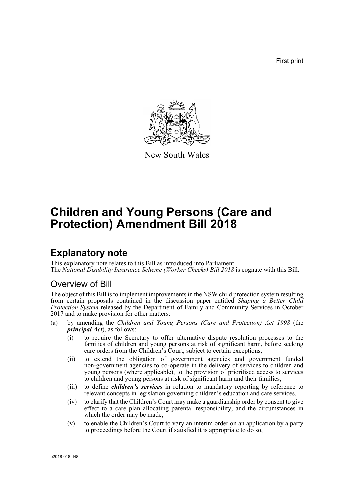First print



New South Wales

# **Children and Young Persons (Care and Protection) Amendment Bill 2018**

# **Explanatory note**

This explanatory note relates to this Bill as introduced into Parliament. The *National Disability Insurance Scheme (Worker Checks) Bill 2018* is cognate with this Bill.

# Overview of Bill

The object of this Bill is to implement improvements in the NSW child protection system resulting from certain proposals contained in the discussion paper entitled *Shaping a Better Child Protection System* released by the Department of Family and Community Services in October 2017 and to make provision for other matters:

- (a) by amending the *Children and Young Persons (Care and Protection) Act 1998* (the *principal Act*), as follows:
	- (i) to require the Secretary to offer alternative dispute resolution processes to the families of children and young persons at risk of significant harm, before seeking care orders from the Children's Court, subject to certain exceptions,
	- (ii) to extend the obligation of government agencies and government funded non-government agencies to co-operate in the delivery of services to children and young persons (where applicable), to the provision of prioritised access to services to children and young persons at risk of significant harm and their families,
	- (iii) to define *children's services* in relation to mandatory reporting by reference to relevant concepts in legislation governing children's education and care services,
	- (iv) to clarify that the Children's Court may make a guardianship order by consent to give effect to a care plan allocating parental responsibility, and the circumstances in which the order may be made,
	- (v) to enable the Children's Court to vary an interim order on an application by a party to proceedings before the Court if satisfied it is appropriate to  $\hat{d}$  so,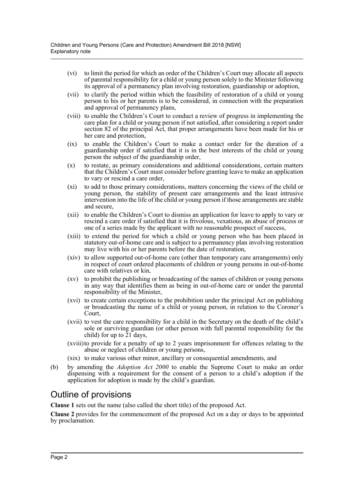- (vi) to limit the period for which an order of the Children's Court may allocate all aspects of parental responsibility for a child or young person solely to the Minister following its approval of a permanency plan involving restoration, guardianship or adoption,
- (vii) to clarify the period within which the feasibility of restoration of a child or young person to his or her parents is to be considered, in connection with the preparation and approval of permanency plans,
- (viii) to enable the Children's Court to conduct a review of progress in implementing the care plan for a child or young person if not satisfied, after considering a report under section 82 of the principal Act, that proper arrangements have been made for his or her care and protection,
- (ix) to enable the Children's Court to make a contact order for the duration of a guardianship order if satisfied that it is in the best interests of the child or young person the subject of the guardianship order,
- (x) to restate, as primary considerations and additional considerations, certain matters that the Children's Court must consider before granting leave to make an application to vary or rescind a care order,
- (xi) to add to those primary considerations, matters concerning the views of the child or young person, the stability of present care arrangements and the least intrusive intervention into the life of the child or young person if those arrangements are stable and secure,
- (xii) to enable the Children's Court to dismiss an application for leave to apply to vary or rescind a care order if satisfied that it is frivolous, vexatious, an abuse of process or one of a series made by the applicant with no reasonable prospect of success,
- (xiii) to extend the period for which a child or young person who has been placed in statutory out-of-home care and is subject to a permanency plan involving restoration may live with his or her parents before the date of restoration,
- (xiv) to allow supported out-of-home care (other than temporary care arrangements) only in respect of court ordered placements of children or young persons in out-of-home care with relatives or kin,
- (xv) to prohibit the publishing or broadcasting of the names of children or young persons in any way that identifies them as being in out-of-home care or under the parental responsibility of the Minister,
- (xvi) to create certain exceptions to the prohibition under the principal Act on publishing or broadcasting the name of a child or young person, in relation to the Coroner's Court,
- (xvii) to vest the care responsibility for a child in the Secretary on the death of the child's sole or surviving guardian (or other person with full parental responsibility for the child) for up to 21 days,
- (xviii)to provide for a penalty of up to 2 years imprisonment for offences relating to the abuse or neglect of children or young persons,
- (xix) to make various other minor, ancillary or consequential amendments, and
- (b) by amending the *Adoption Act 2000* to enable the Supreme Court to make an order dispensing with a requirement for the consent of a person to a child's adoption if the application for adoption is made by the child's guardian.

# Outline of provisions

**Clause 1** sets out the name (also called the short title) of the proposed Act.

**Clause 2** provides for the commencement of the proposed Act on a day or days to be appointed by proclamation.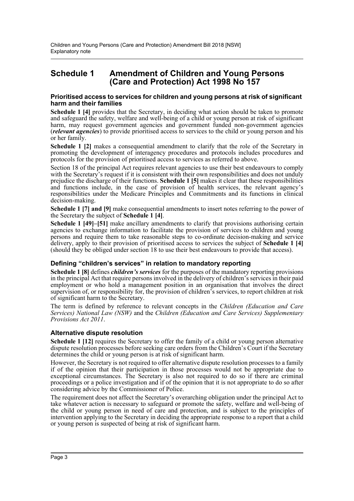# **Schedule 1 Amendment of Children and Young Persons (Care and Protection) Act 1998 No 157**

### **Prioritised access to services for children and young persons at risk of significant harm and their families**

**Schedule 1 [4]** provides that the Secretary, in deciding what action should be taken to promote and safeguard the safety, welfare and well-being of a child or young person at risk of significant harm, may request government agencies and government funded non-government agencies (*relevant agencies*) to provide prioritised access to services to the child or young person and his or her family.

**Schedule 1 [2]** makes a consequential amendment to clarify that the role of the Secretary in promoting the development of interagency procedures and protocols includes procedures and protocols for the provision of prioritised access to services as referred to above.

Section 18 of the principal Act requires relevant agencies to use their best endeavours to comply with the Secretary's request if it is consistent with their own responsibilities and does not unduly prejudice the discharge of their functions. **Schedule 1 [5]** makes it clear that these responsibilities and functions include, in the case of provision of health services, the relevant agency's responsibilities under the Medicare Principles and Commitments and its functions in clinical decision-making.

**Schedule 1 [7] and [9]** make consequential amendments to insert notes referring to the power of the Secretary the subject of **Schedule 1 [4]**.

**Schedule 1 [49]–[51]** make ancillary amendments to clarify that provisions authorising certain agencies to exchange information to facilitate the provision of services to children and young persons and require them to take reasonable steps to co-ordinate decision-making and service delivery, apply to their provision of prioritised access to services the subject of **Schedule 1 [4]** (should they be obliged under section 18 to use their best endeavours to provide that access).

## **Defining "children's services" in relation to mandatory reporting**

**Schedule 1 [8]** defines *children's services* for the purposes of the mandatory reporting provisions in the principal Act that require persons involved in the delivery of children's services in their paid employment or who hold a management position in an organisation that involves the direct supervision of, or responsibility for, the provision of children's services, to report children at risk of significant harm to the Secretary.

The term is defined by reference to relevant concepts in the *Children (Education and Care Services) National Law (NSW)* and the *Children (Education and Care Services) Supplementary Provisions Act 2011*.

## **Alternative dispute resolution**

**Schedule 1 [12]** requires the Secretary to offer the family of a child or young person alternative dispute resolution processes before seeking care orders from the Children's Court if the Secretary determines the child or young person is at risk of significant harm.

However, the Secretary is not required to offer alternative dispute resolution processes to a family if of the opinion that their participation in those processes would not be appropriate due to exceptional circumstances. The Secretary is also not required to do so if there are criminal proceedings or a police investigation and if of the opinion that it is not appropriate to do so after considering advice by the Commissioner of Police.

The requirement does not affect the Secretary's overarching obligation under the principal Act to take whatever action is necessary to safeguard or promote the safety, welfare and well-being of the child or young person in need of care and protection, and is subject to the principles of intervention applying to the Secretary in deciding the appropriate response to a report that a child or young person is suspected of being at risk of significant harm.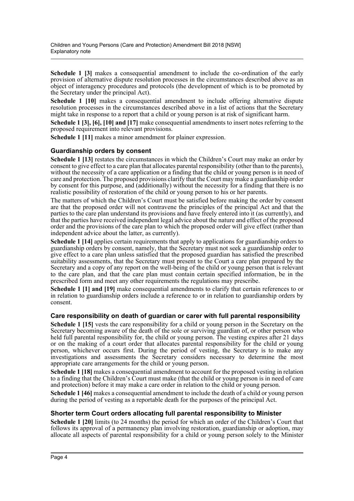**Schedule 1 [3]** makes a consequential amendment to include the co-ordination of the early provision of alternative dispute resolution processes in the circumstances described above as an object of interagency procedures and protocols (the development of which is to be promoted by the Secretary under the principal Act).

**Schedule 1 [10]** makes a consequential amendment to include offering alternative dispute resolution processes in the circumstances described above in a list of actions that the Secretary might take in response to a report that a child or young person is at risk of significant harm.

**Schedule 1 [3], [6], [10] and [17]** make consequential amendments to insert notes referring to the proposed requirement into relevant provisions.

**Schedule 1 [11]** makes a minor amendment for plainer expression.

# **Guardianship orders by consent**

**Schedule 1 [13]** restates the circumstances in which the Children's Court may make an order by consent to give effect to a care plan that allocates parental responsibility (other than to the parents), without the necessity of a care application or a finding that the child or young person is in need of care and protection. The proposed provisions clarify that the Court may make a guardianship order by consent for this purpose, and (additionally) without the necessity for a finding that there is no realistic possibility of restoration of the child or young person to his or her parents.

The matters of which the Children's Court must be satisfied before making the order by consent are that the proposed order will not contravene the principles of the principal Act and that the parties to the care plan understand its provisions and have freely entered into it (as currently), and that the parties have received independent legal advice about the nature and effect of the proposed order and the provisions of the care plan to which the proposed order will give effect (rather than independent advice about the latter, as currently).

**Schedule 1 [14]** applies certain requirements that apply to applications for guardianship orders to guardianship orders by consent, namely, that the Secretary must not seek a guardianship order to give effect to a care plan unless satisfied that the proposed guardian has satisfied the prescribed suitability assessments, that the Secretary must present to the Court a care plan prepared by the Secretary and a copy of any report on the well-being of the child or young person that is relevant to the care plan, and that the care plan must contain certain specified information, be in the prescribed form and meet any other requirements the regulations may prescribe.

**Schedule 1 [1] and [19]** make consequential amendments to clarify that certain references to or in relation to guardianship orders include a reference to or in relation to guardianship orders by consent.

## **Care responsibility on death of guardian or carer with full parental responsibility**

**Schedule 1 [15]** vests the care responsibility for a child or young person in the Secretary on the Secretary becoming aware of the death of the sole or surviving guardian of, or other person who held full parental responsibility for, the child or young person. The vesting expires after 21 days or on the making of a court order that allocates parental responsibility for the child or young person, whichever occurs first. During the period of vesting, the Secretary is to make any investigations and assessments the Secretary considers necessary to determine the most appropriate care arrangements for the child or young person.

**Schedule 1 [18]** makes a consequential amendment to account for the proposed vesting in relation to a finding that the Children's Court must make (that the child or young person is in need of care and protection) before it may make a care order in relation to the child or young person.

**Schedule 1 [46]** makes a consequential amendment to include the death of a child or young person during the period of vesting as a reportable death for the purposes of the principal Act.

## **Shorter term Court orders allocating full parental responsibility to Minister**

**Schedule 1 [20]** limits (to 24 months) the period for which an order of the Children's Court that follows its approval of a permanency plan involving restoration, guardianship or adoption, may allocate all aspects of parental responsibility for a child or young person solely to the Minister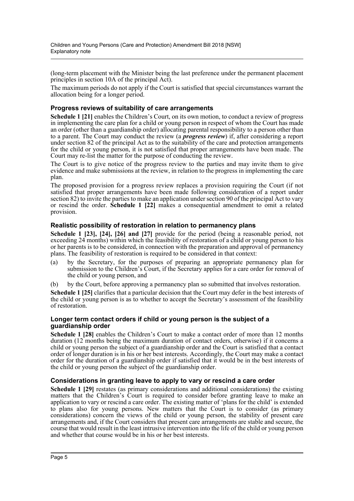(long-term placement with the Minister being the last preference under the permanent placement principles in section 10A of the principal Act).

The maximum periods do not apply if the Court is satisfied that special circumstances warrant the allocation being for a longer period.

## **Progress reviews of suitability of care arrangements**

**Schedule 1 [21]** enables the Children's Court, on its own motion, to conduct a review of progress in implementing the care plan for a child or young person in respect of whom the Court has made an order (other than a guardianship order) allocating parental responsibility to a person other than to a parent. The Court may conduct the review (a *progress review*) if, after considering a report under section 82 of the principal Act as to the suitability of the care and protection arrangements for the child or young person, it is not satisfied that proper arrangements have been made. The Court may re-list the matter for the purpose of conducting the review.

The Court is to give notice of the progress review to the parties and may invite them to give evidence and make submissions at the review, in relation to the progress in implementing the care plan.

The proposed provision for a progress review replaces a provision requiring the Court (if not satisfied that proper arrangements have been made following consideration of a report under section 82) to invite the parties to make an application under section 90 of the principal Act to vary or rescind the order. **Schedule 1 [22]** makes a consequential amendment to omit a related provision.

## **Realistic possibility of restoration in relation to permanency plans**

**Schedule 1 [23], [24], [26] and [27]** provide for the period (being a reasonable period, not exceeding 24 months) within which the feasibility of restoration of a child or young person to his or her parents is to be considered, in connection with the preparation and approval of permanency plans. The feasibility of restoration is required to be considered in that context:

- (a) by the Secretary, for the purposes of preparing an appropriate permanency plan for submission to the Children's Court, if the Secretary applies for a care order for removal of the child or young person, and
- (b) by the Court, before approving a permanency plan so submitted that involves restoration.

**Schedule 1 [25]** clarifies that a particular decision that the Court may defer in the best interests of the child or young person is as to whether to accept the Secretary's assessment of the feasibility of restoration.

### **Longer term contact orders if child or young person is the subject of a guardianship order**

**Schedule 1 [28]** enables the Children's Court to make a contact order of more than 12 months duration (12 months being the maximum duration of contact orders, otherwise) if it concerns a child or young person the subject of a guardianship order and the Court is satisfied that a contact order of longer duration is in his or her best interests. Accordingly, the Court may make a contact order for the duration of a guardianship order if satisfied that it would be in the best interests of the child or young person the subject of the guardianship order.

## **Considerations in granting leave to apply to vary or rescind a care order**

**Schedule 1 [29]** restates (as primary considerations and additional considerations) the existing matters that the Children's Court is required to consider before granting leave to make an application to vary or rescind a care order. The existing matter of 'plans for the child' is extended to plans also for young persons. New matters that the Court is to consider (as primary considerations) concern the views of the child or young person, the stability of present care arrangements and, if the Court considers that present care arrangements are stable and secure, the course that would result in the least intrusive intervention into the life of the child or young person and whether that course would be in his or her best interests.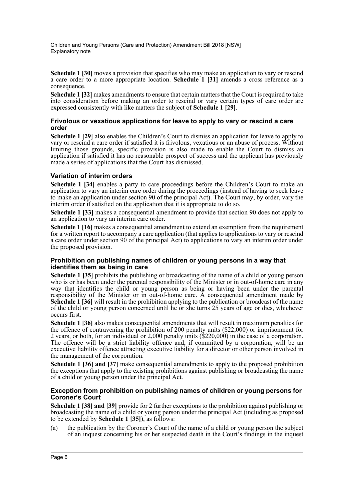**Schedule 1 [30]** moves a provision that specifies who may make an application to vary or rescind a care order to a more appropriate location. **Schedule 1 [31]** amends a cross reference as a consequence.

**Schedule 1 [32]** makes amendments to ensure that certain matters that the Court is required to take into consideration before making an order to rescind or vary certain types of care order are expressed consistently with like matters the subject of **Schedule 1 [29]**.

### **Frivolous or vexatious applications for leave to apply to vary or rescind a care order**

**Schedule 1 [29]** also enables the Children's Court to dismiss an application for leave to apply to vary or rescind a care order if satisfied it is frivolous, vexatious or an abuse of process. Without limiting those grounds, specific provision is also made to enable the Court to dismiss an application if satisfied it has no reasonable prospect of success and the applicant has previously made a series of applications that the Court has dismissed.

# **Variation of interim orders**

**Schedule 1 [34]** enables a party to care proceedings before the Children's Court to make an application to vary an interim care order during the proceedings (instead of having to seek leave to make an application under section 90 of the principal Act). The Court may, by order, vary the interim order if satisfied on the application that it is appropriate to do so.

**Schedule 1 [33]** makes a consequential amendment to provide that section 90 does not apply to an application to vary an interim care order.

**Schedule 1 [16]** makes a consequential amendment to extend an exemption from the requirement for a written report to accompany a care application (that applies to applications to vary or rescind a care order under section 90 of the principal Act) to applications to vary an interim order under the proposed provision.

### **Prohibition on publishing names of children or young persons in a way that identifies them as being in care**

**Schedule 1 [35]** prohibits the publishing or broadcasting of the name of a child or young person who is or has been under the parental responsibility of the Minister or in out-of-home care in any way that identifies the child or young person as being or having been under the parental responsibility of the Minister or in out-of-home care. A consequential amendment made by **Schedule 1 [36]** will result in the prohibition applying to the publication or broadcast of the name of the child or young person concerned until he or she turns 25 years of age or dies, whichever occurs first.

**Schedule 1 [36]** also makes consequential amendments that will result in maximum penalties for the offence of contravening the prohibition of 200 penalty units (\$22,000) or imprisonment for 2 years, or both, for an individual or 2,000 penalty units (\$220,000) in the case of a corporation. The offence will be a strict liability offence and, if committed by a corporation, will be an executive liability offence attracting executive liability for a director or other person involved in the management of the corporation.

**Schedule 1 [36] and [37]** make consequential amendments to apply to the proposed prohibition the exceptions that apply to the existing prohibitions against publishing or broadcasting the name of a child or young person under the principal Act.

### **Exception from prohibition on publishing names of children or young persons for Coroner's Court**

**Schedule 1 [38] and [39]** provide for 2 further exceptions to the prohibition against publishing or broadcasting the name of a child or young person under the principal Act (including as proposed to be extended by **Schedule 1 [35]**), as follows:

(a) the publication by the Coroner's Court of the name of a child or young person the subject of an inquest concerning his or her suspected death in the Court's findings in the inquest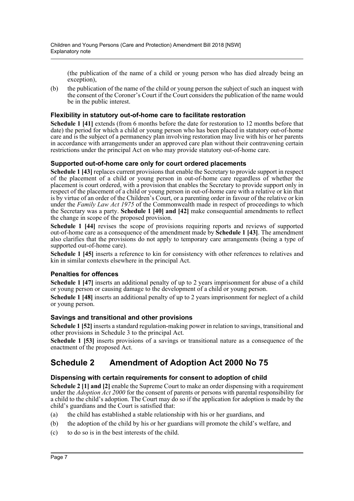(the publication of the name of a child or young person who has died already being an exception),

(b) the publication of the name of the child or young person the subject of such an inquest with the consent of the Coroner's Court if the Court considers the publication of the name would be in the public interest.

# **Flexibility in statutory out-of-home care to facilitate restoration**

**Schedule 1 [41]** extends (from 6 months before the date for restoration to 12 months before that date) the period for which a child or young person who has been placed in statutory out-of-home care and is the subject of a permanency plan involving restoration may live with his or her parents in accordance with arrangements under an approved care plan without their contravening certain restrictions under the principal Act on who may provide statutory out-of-home care.

# **Supported out-of-home care only for court ordered placements**

**Schedule 1 [43]** replaces current provisions that enable the Secretary to provide support in respect of the placement of a child or young person in out-of-home care regardless of whether the placement is court ordered, with a provision that enables the Secretary to provide support only in respect of the placement of a child or young person in out-of-home care with a relative or kin that is by virtue of an order of the Children's Court, or a parenting order in favour of the relative or kin under the *Family Law Act 1975* of the Commonwealth made in respect of proceedings to which the Secretary was a party. **Schedule 1 [40] and [42]** make consequential amendments to reflect the change in scope of the proposed provision.

**Schedule 1 [44]** revises the scope of provisions requiring reports and reviews of supported out-of-home care as a consequence of the amendment made by **Schedule 1 [43]**. The amendment also clarifies that the provisions do not apply to temporary care arrangements (being a type of supported out-of-home care).

**Schedule 1 [45]** inserts a reference to kin for consistency with other references to relatives and kin in similar contexts elsewhere in the principal Act.

## **Penalties for offences**

**Schedule 1 [47]** inserts an additional penalty of up to 2 years imprisonment for abuse of a child or young person or causing damage to the development of a child or young person.

**Schedule 1 [48]** inserts an additional penalty of up to 2 years imprisonment for neglect of a child or young person.

## **Savings and transitional and other provisions**

**Schedule 1 [52]** inserts a standard regulation-making power in relation to savings, transitional and other provisions in Schedule 3 to the principal Act.

**Schedule 1 [53]** inserts provisions of a savings or transitional nature as a consequence of the enactment of the proposed Act.

# **Schedule 2 Amendment of Adoption Act 2000 No 75**

# **Dispensing with certain requirements for consent to adoption of child**

**Schedule 2 [1] and [2]** enable the Supreme Court to make an order dispensing with a requirement under the *Adoption Act 2000* for the consent of parents or persons with parental responsibility for a child to the child's adoption. The Court may do so if the application for adoption is made by the child's guardians and the Court is satisfied that:

- (a) the child has established a stable relationship with his or her guardians, and
- (b) the adoption of the child by his or her guardians will promote the child's welfare, and
- (c) to do so is in the best interests of the child.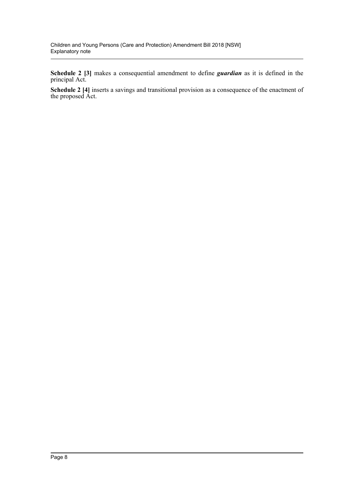**Schedule 2 [3]** makes a consequential amendment to define *guardian* as it is defined in the principal Act.

**Schedule 2 [4]** inserts a savings and transitional provision as a consequence of the enactment of the proposed Act.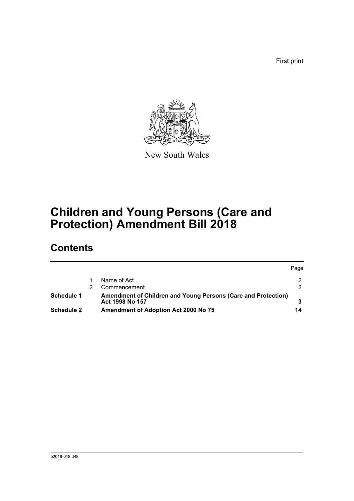First print



New South Wales

# **Children and Young Persons (Care and Protection) Amendment Bill 2018**

# **Contents**

|                   |  |                                                               | Page |
|-------------------|--|---------------------------------------------------------------|------|
|                   |  | Name of Act                                                   |      |
|                   |  | Commencement                                                  | ົ    |
| Schedule 1        |  | Amendment of Children and Young Persons (Care and Protection) |      |
|                   |  | Act 1998 No 157                                               |      |
| <b>Schedule 2</b> |  | <b>Amendment of Adoption Act 2000 No 75</b>                   | 14   |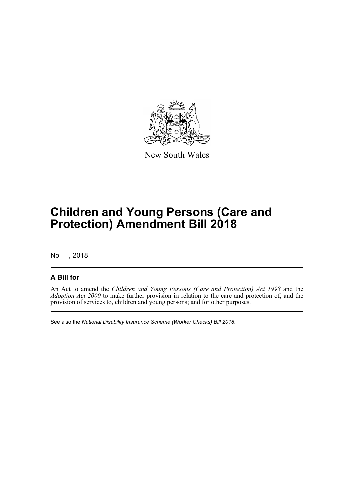

New South Wales

# **Children and Young Persons (Care and Protection) Amendment Bill 2018**

No , 2018

# **A Bill for**

An Act to amend the *Children and Young Persons (Care and Protection) Act 1998* and the *Adoption Act 2000* to make further provision in relation to the care and protection of, and the provision of services to, children and young persons; and for other purposes.

See also the *National Disability Insurance Scheme (Worker Checks) Bill 2018*.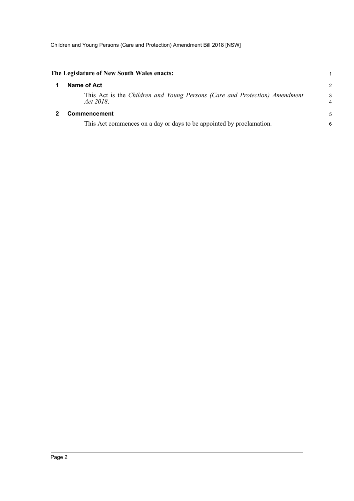<span id="page-10-1"></span><span id="page-10-0"></span>

| The Legislature of New South Wales enacts:                                              |                |
|-----------------------------------------------------------------------------------------|----------------|
| Name of Act                                                                             | $\overline{2}$ |
| This Act is the Children and Young Persons (Care and Protection) Amendment<br>Act 2018. | 3<br>4         |
| Commencement                                                                            | 5              |
| This Act commences on a day or days to be appointed by proclamation.                    | 6              |
|                                                                                         |                |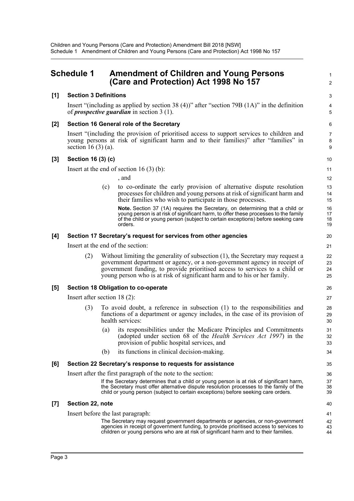# <span id="page-11-0"></span>**Schedule 1 Amendment of Children and Young Persons (Care and Protection) Act 1998 No 157** <sup>2</sup>

### **[1] Section 3 Definitions** 3

Insert "(including as applied by section 38 (4))" after "section 79B  $(1A)$ " in the definition 4 of *prospective guardian* in section 3 (1). 5

### **[2] Section 16 General role of the Secretary** 6

Insert "(including the provision of prioritised access to support services to children and 7 young persons at risk of significant harm and to their families)" after "families" in 8 section 16 (3) (a). 9

### **[3] Section 16 (3) (c)** 10

Insert at the end of section 16 (3) (b):  $11$ 

 $,$  and  $12$ 

(c) to co-ordinate the early provision of alternative dispute resolution 13 processes for children and young persons at risk of significant harm and 14 their families who wish to participate in those processes. 15

**Note.** Section 37 (1A) requires the Secretary, on determining that a child or 16<br>voung person is at risk of significant harm, to offer these processes to the family 17 young person is at risk of significant harm, to offer these processes to the family the family the state of th<br>of the child or voung person (subject to certain exceptions) before seeking care the the 18 of the child or young person (subject to certain exceptions) before seeking care orders. 19

### **[4] Section 17 Secretary's request for services from other agencies** 20

Insert at the end of the section: 21

(2) Without limiting the generality of subsection (1), the Secretary may request a 22 government department or agency, or a non-government agency in receipt of 23 government funding, to provide prioritised access to services to a child or 24 young person who is at risk of significant harm and to his or her family. 25

### **[5] Section 18 Obligation to co-operate** 26

Insert after section 18 (2): 27

- (3) To avoid doubt, a reference in subsection (1) to the responsibilities and 28 functions of a department or agency includes, in the case of its provision of 29 health services: 30
	- (a) its responsibilities under the Medicare Principles and Commitments 31 (adopted under section 68 of the *Health Services Act 1997*) in the 32 provision of public hospital services, and 33
	- (b) its functions in clinical decision-making. 34

#### **[6] Section 22 Secretary's response to requests for assistance** 35

Insert after the first paragraph of the note to the section: 36

If the Secretary determines that a child or young person is at risk of significant harm, 37<br>the Secretary must offer alternative dispute resolution processes to the family of the 38 the Secretary must offer alternative dispute resolution processes to the family of the child or young person (subject to certain exceptions) before seeking care orders. 39

### **[7] Section 22, note** 40

Insert before the last paragraph: 41

The Secretary may request government departments or agencies, or non-government 42 agencies in receipt of government funding, to provide prioritised access to services to 43 children or young persons who are at risk of significant harm and to their families. 44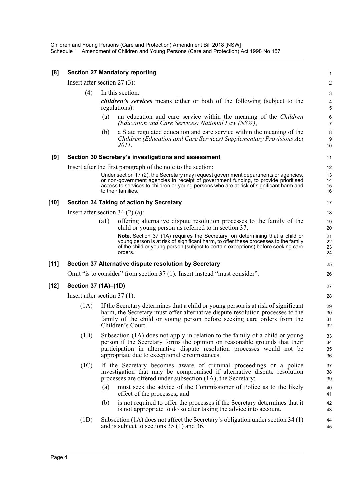| [8]  | <b>Section 27 Mandatory reporting</b>                |      |                                                                                                                                                                                                                                                                                             |                         |  |
|------|------------------------------------------------------|------|---------------------------------------------------------------------------------------------------------------------------------------------------------------------------------------------------------------------------------------------------------------------------------------------|-------------------------|--|
|      | Insert after section $27(3)$ :                       |      |                                                                                                                                                                                                                                                                                             | $\overline{\mathbf{c}}$ |  |
|      | (4)                                                  |      | In this section:                                                                                                                                                                                                                                                                            | 3                       |  |
|      |                                                      |      | <i>children's services</i> means either or both of the following (subject to the<br>regulations):                                                                                                                                                                                           | 4<br>5                  |  |
|      |                                                      | (a)  | an education and care service within the meaning of the <i>Children</i><br>(Education and Care Services) National Law (NSW),                                                                                                                                                                | 6<br>$\overline{7}$     |  |
|      |                                                      | (b)  | a State regulated education and care service within the meaning of the<br>Children (Education and Care Services) Supplementary Provisions Act<br>2011.                                                                                                                                      | 8<br>9<br>10            |  |
| [9]  | Section 30 Secretary's investigations and assessment |      |                                                                                                                                                                                                                                                                                             |                         |  |
|      |                                                      |      | Insert after the first paragraph of the note to the section:                                                                                                                                                                                                                                | 12                      |  |
|      |                                                      |      | Under section 17 (2), the Secretary may request government departments or agencies,<br>or non-government agencies in receipt of government funding, to provide prioritised<br>access to services to children or young persons who are at risk of significant harm and<br>to their families. | 13<br>14<br>15<br>16    |  |
| [10] |                                                      |      | <b>Section 34 Taking of action by Secretary</b>                                                                                                                                                                                                                                             | 17                      |  |
|      |                                                      |      | Insert after section $34(2)(a)$ :                                                                                                                                                                                                                                                           | 18                      |  |
|      |                                                      | (a1) | offering alternative dispute resolution processes to the family of the<br>child or young person as referred to in section 37,                                                                                                                                                               | 19<br>20                |  |
|      |                                                      |      | Note. Section 37 (1A) requires the Secretary, on determining that a child or<br>young person is at risk of significant harm, to offer these processes to the family<br>of the child or young person (subject to certain exceptions) before seeking care<br>orders.                          | 21<br>22<br>23<br>24    |  |
| [11] |                                                      |      | Section 37 Alternative dispute resolution by Secretary                                                                                                                                                                                                                                      | 25                      |  |
|      |                                                      |      | Omit "is to consider" from section 37 (1). Insert instead "must consider".                                                                                                                                                                                                                  | 26                      |  |
| [12] | Section 37 (1A)–(1D)                                 |      |                                                                                                                                                                                                                                                                                             | 27                      |  |
|      | Insert after section $37(1)$ :                       |      |                                                                                                                                                                                                                                                                                             | 28                      |  |
|      | (1A)                                                 |      | If the Secretary determines that a child or young person is at risk of significant<br>harm, the Secretary must offer alternative dispute resolution processes to the<br>family of the child or young person before seeking care orders from the<br>Children's Court.                        | 29<br>30<br>31<br>32    |  |
|      | (1B)                                                 |      | Subsection (1A) does not apply in relation to the family of a child or young<br>person if the Secretary forms the opinion on reasonable grounds that their<br>participation in alternative dispute resolution processes would not be<br>appropriate due to exceptional circumstances.       | 33<br>34<br>35<br>36    |  |
|      | (1C)                                                 |      | If the Secretary becomes aware of criminal proceedings or a police<br>investigation that may be compromised if alternative dispute resolution<br>processes are offered under subsection (1A), the Secretary:                                                                                | 37<br>38<br>39          |  |
|      |                                                      | (a)  | must seek the advice of the Commissioner of Police as to the likely<br>effect of the processes, and                                                                                                                                                                                         | 40<br>41                |  |
|      |                                                      | (b)  | is not required to offer the processes if the Secretary determines that it<br>is not appropriate to do so after taking the advice into account.                                                                                                                                             | 42<br>43                |  |
|      | (1D)                                                 |      | Subsection $(1A)$ does not affect the Secretary's obligation under section 34 $(1)$<br>and is subject to sections $35(1)$ and $36$ .                                                                                                                                                        | 44<br>45                |  |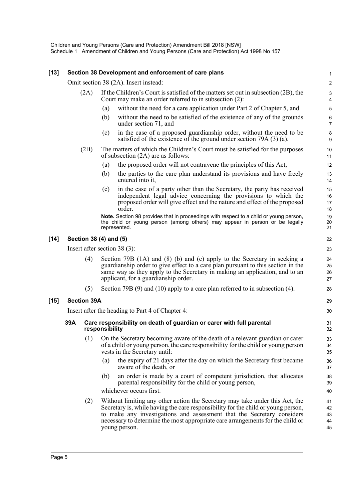#### **[13] Section 38 Development and enforcement of care plans** 1

Omit section 38 (2A). Insert instead: 2

| (2A) If the Children's Court is satisfied of the matters set out in subsection (2B), the |  |  |  |  |
|------------------------------------------------------------------------------------------|--|--|--|--|
| Court may make an order referred to in subsection (2):                                   |  |  |  |  |

- (a) without the need for a care application under Part 2 of Chapter 5, and 5
- (b) without the need to be satisfied of the existence of any of the grounds  $6<sub>6</sub>$ under section 71, and 7
- (c) in the case of a proposed guardianship order, without the need to be 8 satisfied of the existence of the ground under section  $79A(3)(a)$ .
- (2B) The matters of which the Children's Court must be satisfied for the purposes 10 of subsection  $(2A)$  are as follows: 11
	- (a) the proposed order will not contravene the principles of this Act, 12
	- (b) the parties to the care plan understand its provisions and have freely 13 entered into it, the same state of the state of the state of the state of the state of the state of the state of the state of the state of the state of the state of the state of the state of the state of the state of the s
	- (c) in the case of a party other than the Secretary, the party has received 15 independent legal advice concerning the provisions to which the 16 proposed order will give effect and the nature and effect of the proposed 17 order. 18

**Note.** Section 98 provides that in proceedings with respect to a child or young person, 19 the child or young person (among others) may appear in person or be legally 20 represented. 21

### **[14] Section 38 (4) and (5)** 22

Insert after section 38 (3): 23

- (4) Section 79B (1A) and (8) (b) and (c) apply to the Secretary in seeking a 24 guardianship order to give effect to a care plan pursuant to this section in the 25 same way as they apply to the Secretary in making an application, and to an 26 applicant, for a guardianship order. 27
- (5) Section 79B (9) and (10) apply to a care plan referred to in subsection (4). 28

#### **[15] Section 39A** 29

Insert after the heading to Part 4 of Chapter 4: 30

#### **39A Care responsibility on death of guardian or carer with full parental** 31 **responsibility** 32

- (1) On the Secretary becoming aware of the death of a relevant guardian or carer 33 of a child or young person, the care responsibility for the child or young person 34 vests in the Secretary until: 35
	- (a) the expiry of 21 days after the day on which the Secretary first became 36 aware of the death, or 37
	- (b) an order is made by a court of competent jurisdiction, that allocates 38 parental responsibility for the child or young person, 39

whichever occurs first. 40

(2) Without limiting any other action the Secretary may take under this Act, the 41 Secretary is, while having the care responsibility for the child or young person, 42 to make any investigations and assessment that the Secretary considers 43 necessary to determine the most appropriate care arrangements for the child or  $\frac{44}{4}$ young person. 45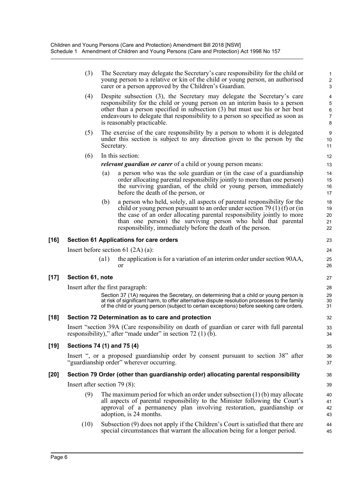|        | (3)                            |                    | The Secretary may delegate the Secretary's care responsibility for the child or<br>young person to a relative or kin of the child or young person, an authorised<br>carer or a person approved by the Children's Guardian.                                                                                                                                        | $\mathbf{1}$<br>$\overline{\mathbf{c}}$<br>3                           |
|--------|--------------------------------|--------------------|-------------------------------------------------------------------------------------------------------------------------------------------------------------------------------------------------------------------------------------------------------------------------------------------------------------------------------------------------------------------|------------------------------------------------------------------------|
|        | (4)                            |                    | Despite subsection (3), the Secretary may delegate the Secretary's care<br>responsibility for the child or young person on an interim basis to a person<br>other than a person specified in subsection $(3)$ but must use his or her best<br>endeavours to delegate that responsibility to a person so specified as soon as<br>is reasonably practicable.         | $\overline{\mathcal{A}}$<br>5<br>$\overline{6}$<br>$\overline{7}$<br>8 |
|        | (5)                            | Secretary.         | The exercise of the care responsibility by a person to whom it is delegated<br>under this section is subject to any direction given to the person by the                                                                                                                                                                                                          | 9<br>10<br>11                                                          |
|        | (6)                            |                    | In this section:                                                                                                                                                                                                                                                                                                                                                  | 12                                                                     |
|        |                                |                    | relevant guardian or carer of a child or young person means:                                                                                                                                                                                                                                                                                                      | 13                                                                     |
|        |                                | (a)                | a person who was the sole guardian or (in the case of a guardianship<br>order allocating parental responsibility jointly to more than one person)<br>the surviving guardian, of the child or young person, immediately<br>before the death of the person, or                                                                                                      | 14<br>15<br>16<br>17                                                   |
|        |                                | (b)                | a person who held, solely, all aspects of parental responsibility for the<br>child or young person pursuant to an order under section 79 (1) (f) or (in<br>the case of an order allocating parental responsibility jointly to more<br>than one person) the surviving person who held that parental<br>responsibility, immediately before the death of the person. | 18<br>19<br>20<br>21<br>22                                             |
| [16]   |                                |                    | <b>Section 61 Applications for care orders</b>                                                                                                                                                                                                                                                                                                                    | 23                                                                     |
|        |                                |                    | Insert before section 61 $(2A)$ (a):                                                                                                                                                                                                                                                                                                                              | 24                                                                     |
|        |                                | $\left( a1\right)$ | the application is for a variation of an interim order under section 90AA,<br>or                                                                                                                                                                                                                                                                                  | 25<br>26                                                               |
| $[17]$ | Section 61, note               |                    |                                                                                                                                                                                                                                                                                                                                                                   | 27                                                                     |
|        |                                |                    | Insert after the first paragraph:                                                                                                                                                                                                                                                                                                                                 | 28                                                                     |
|        |                                |                    | Section 37 (1A) requires the Secretary, on determining that a child or young person is<br>at risk of significant harm, to offer alternative dispute resolution processes to the family<br>of the child or young person (subject to certain exceptions) before seeking care orders.                                                                                | 29<br>30<br>31                                                         |
| [18]   |                                |                    | Section 72 Determination as to care and protection                                                                                                                                                                                                                                                                                                                | 32                                                                     |
|        |                                |                    | Insert "section 39A (Care responsibility on death of guardian or carer with full parental<br>responsibility)," after "made under" in section $72(1)(b)$ .                                                                                                                                                                                                         | 33<br>34                                                               |
| [19]   | Sections 74 (1) and 75 (4)     |                    |                                                                                                                                                                                                                                                                                                                                                                   | 35                                                                     |
|        |                                |                    | Insert ", or a proposed guardianship order by consent pursuant to section 38" after<br>"guardianship order" wherever occurring.                                                                                                                                                                                                                                   | 36<br>37                                                               |
| [20]   |                                |                    | Section 79 Order (other than guardianship order) allocating parental responsibility                                                                                                                                                                                                                                                                               | 38                                                                     |
|        | Insert after section $79(8)$ : |                    |                                                                                                                                                                                                                                                                                                                                                                   | 39                                                                     |
|        | (9)                            |                    | The maximum period for which an order under subsection $(1)(b)$ may allocate                                                                                                                                                                                                                                                                                      | 40                                                                     |
|        |                                |                    | all aspects of parental responsibility to the Minister following the Court's<br>approval of a permanency plan involving restoration, guardianship or<br>adoption, is 24 months.                                                                                                                                                                                   | 41<br>42<br>43                                                         |
|        | (10)                           |                    | Subsection (9) does not apply if the Children's Court is satisfied that there are                                                                                                                                                                                                                                                                                 | 44                                                                     |

special circumstances that warrant the allocation being for a longer period. 45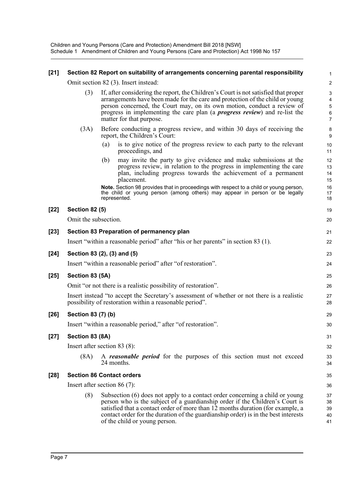Children and Young Persons (Care and Protection) Amendment Bill 2018 [NSW] Schedule 1 Amendment of Children and Young Persons (Care and Protection) Act 1998 No 157

### **[21] Section 82 Report on suitability of arrangements concerning parental responsibility** 1

Omit section 82 (3). Insert instead: 2

- (3) If, after considering the report, the Children's Court is not satisfied that proper 3 arrangements have been made for the care and protection of the child or young 4 person concerned, the Court may, on its own motion, conduct a review of 5 progress in implementing the care plan (a *progress review*) and re-list the 6 matter for that purpose. 7
- (3A) Before conducting a progress review, and within 30 days of receiving the 8 report, the Children's Court: 9
	- (a) is to give notice of the progress review to each party to the relevant 10 proceedings, and 11
	- (b) may invite the party to give evidence and make submissions at the 12 progress review, in relation to the progress in implementing the care 13 plan, including progress towards the achievement of a permanent 14 placement. 15

**Note.** Section 98 provides that in proceedings with respect to a child or young person, 16 the child or young person (among others) may appear in person or be legally 17<br>18 represented.

#### **[22] Section 82 (5)** 19

Omit the subsection. 20

| $[26]$ | possibility of restoration within a reasonable period".<br>Section 83 (7) (b)               | 28<br>29 |
|--------|---------------------------------------------------------------------------------------------|----------|
|        | Insert instead "to accept the Secretary's assessment of whether or not there is a realistic | 27       |
|        | Omit "or not there is a realistic possibility of restoration".                              | 26       |
| $[25]$ | Section 83 (5A)                                                                             | 25       |
|        | Insert "within a reasonable period" after "of restoration".                                 | 24       |
| $[24]$ | Section 83 (2), (3) and (5)                                                                 | 23       |
|        | Insert "within a reasonable period" after "his or her parents" in section 83 (1).           | 22       |
| $[23]$ | Section 83 Preparation of permanency plan                                                   | 21       |

Insert "within a reasonable period," after "of restoration". 30

### **[27] Section 83 (8A)** 31

Insert after section 83 (8): 32

(8A) A *reasonable period* for the purposes of this section must not exceed 33 24 months.  $\frac{34}{2}$ 

### **[28] Section 86 Contact orders** 35

Insert after section 86 (7): 36

(8) Subsection (6) does not apply to a contact order concerning a child or young 37 person who is the subject of a guardianship order if the Children's Court is 38 satisfied that a contact order of more than 12 months duration (for example, a 39 contact order for the duration of the guardianship order) is in the best interests 40 of the child or young person. 41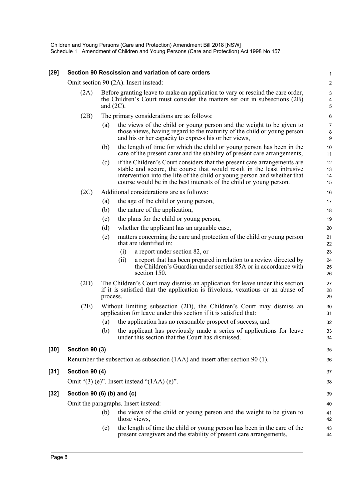Children and Young Persons (Care and Protection) Amendment Bill 2018 [NSW] Schedule 1 Amendment of Children and Young Persons (Care and Protection) Act 1998 No 157

# **[29] Section 90 Rescission and variation of care orders** 1 Omit section 90 (2A). Insert instead: 2 (2A) Before granting leave to make an application to vary or rescind the care order, 3 the Children's Court must consider the matters set out in subsections (2B) 4 and  $(2C)$ . (2B) The primary considerations are as follows: 6 (a) the views of the child or young person and the weight to be given to 7 those views, having regard to the maturity of the child or young person 8 and his or her capacity to express his or her views, 9 (b) the length of time for which the child or young person has been in the 10 care of the present carer and the stability of present care arrangements, 11 (c) if the Children's Court considers that the present care arrangements are 12 stable and secure, the course that would result in the least intrusive 13 intervention into the life of the child or young person and whether that 14 course would be in the best interests of the child or young person. 15 (2C) Additional considerations are as follows: 16 (a) the age of the child or young person, 17 (b) the nature of the application, 18 (c) the plans for the child or young person, 19 (d) whether the applicant has an arguable case, 20 (e) matters concerning the care and protection of the child or young person 21 that are identified in: 22 (i) a report under section 82, or 23 (ii) a report that has been prepared in relation to a review directed by 24 the Children's Guardian under section 85A or in accordance with 25 section 150. 26 (2D) The Children's Court may dismiss an application for leave under this section 27 if it is satisfied that the application is frivolous, vexatious or an abuse of 28 process. 29 (2E) Without limiting subsection (2D), the Children's Court may dismiss an 30 application for leave under this section if it is satisfied that: 31 (a) the application has no reasonable prospect of success, and 32 (b) the applicant has previously made a series of applications for leave 33 under this section that the Court has dismissed. 34 **[30] Section 90 (3)** 35 Renumber the subsection as subsection (1AA) and insert after section 90 (1). 36 **[31] Section 90 (4)** 37 Omit " $(3)$  (e)". Insert instead " $(1AA)$  (e)". 38 **[32] Section 90 (6) (b) and (c)** 39 Omit the paragraphs. Insert instead: 40 (b) the views of the child or young person and the weight to be given to 41 those views,  $42$

(c) the length of time the child or young person has been in the care of the 43 present caregivers and the stability of present care arrangements, 44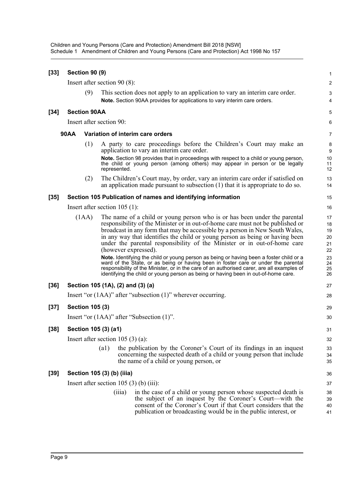Children and Young Persons (Care and Protection) Amendment Bill 2018 [NSW] Schedule 1 Amendment of Children and Young Persons (Care and Protection) Act 1998 No 157

| $[33]$ | <b>Section 90 (9)</b> |                                                                    |                                                                                                                                                                                                                                                                                                                                                                                                                                                                                                                                                                                                                                                                                                                                                                              | 1                                                        |
|--------|-----------------------|--------------------------------------------------------------------|------------------------------------------------------------------------------------------------------------------------------------------------------------------------------------------------------------------------------------------------------------------------------------------------------------------------------------------------------------------------------------------------------------------------------------------------------------------------------------------------------------------------------------------------------------------------------------------------------------------------------------------------------------------------------------------------------------------------------------------------------------------------------|----------------------------------------------------------|
|        |                       | Insert after section $90(8)$ :                                     |                                                                                                                                                                                                                                                                                                                                                                                                                                                                                                                                                                                                                                                                                                                                                                              | $\overline{\mathbf{c}}$                                  |
|        |                       | (9)                                                                | This section does not apply to an application to vary an interim care order.<br>Note. Section 90AA provides for applications to vary interim care orders.                                                                                                                                                                                                                                                                                                                                                                                                                                                                                                                                                                                                                    | 3<br>4                                                   |
| $[34]$ | <b>Section 90AA</b>   |                                                                    |                                                                                                                                                                                                                                                                                                                                                                                                                                                                                                                                                                                                                                                                                                                                                                              | 5                                                        |
|        |                       | Insert after section 90:                                           |                                                                                                                                                                                                                                                                                                                                                                                                                                                                                                                                                                                                                                                                                                                                                                              | 6                                                        |
|        | <b>90AA</b>           | Variation of interim care orders                                   |                                                                                                                                                                                                                                                                                                                                                                                                                                                                                                                                                                                                                                                                                                                                                                              | 7                                                        |
|        |                       | (1)<br>application to vary an interim care order.<br>represented.  | A party to care proceedings before the Children's Court may make an<br>Note. Section 98 provides that in proceedings with respect to a child or young person,<br>the child or young person (among others) may appear in person or be legally                                                                                                                                                                                                                                                                                                                                                                                                                                                                                                                                 | 8<br>9<br>10<br>11<br>12                                 |
|        |                       | (2)                                                                | The Children's Court may, by order, vary an interim care order if satisfied on<br>an application made pursuant to subsection $(1)$ that it is appropriate to do so.                                                                                                                                                                                                                                                                                                                                                                                                                                                                                                                                                                                                          | 13<br>14                                                 |
| $[35]$ |                       |                                                                    | Section 105 Publication of names and identifying information                                                                                                                                                                                                                                                                                                                                                                                                                                                                                                                                                                                                                                                                                                                 | 15                                                       |
|        |                       | Insert after section $105$ (1):                                    |                                                                                                                                                                                                                                                                                                                                                                                                                                                                                                                                                                                                                                                                                                                                                                              | 16                                                       |
|        | (1AA)                 | (however expressed).                                               | The name of a child or young person who is or has been under the parental<br>responsibility of the Minister or in out-of-home care must not be published or<br>broadcast in any form that may be accessible by a person in New South Wales,<br>in any way that identifies the child or young person as being or having been<br>under the parental responsibility of the Minister or in out-of-home care<br>Note. Identifying the child or young person as being or having been a foster child or a<br>ward of the State, or as being or having been in foster care or under the parental<br>responsibility of the Minister, or in the care of an authorised carer, are all examples of<br>identifying the child or young person as being or having been in out-of-home care. | 17<br>18<br>19<br>20<br>21<br>22<br>23<br>24<br>25<br>26 |
| $[36]$ |                       | Section 105 (1A), (2) and (3) (a)                                  |                                                                                                                                                                                                                                                                                                                                                                                                                                                                                                                                                                                                                                                                                                                                                                              | 27                                                       |
|        |                       | Insert "or $(1AA)$ " after "subsection $(1)$ " wherever occurring. |                                                                                                                                                                                                                                                                                                                                                                                                                                                                                                                                                                                                                                                                                                                                                                              | 28                                                       |
| $[37]$ |                       | <b>Section 105 (3)</b>                                             |                                                                                                                                                                                                                                                                                                                                                                                                                                                                                                                                                                                                                                                                                                                                                                              | 29                                                       |
|        |                       | Insert "or $(1AA)$ " after "Subsection $(1)$ ".                    |                                                                                                                                                                                                                                                                                                                                                                                                                                                                                                                                                                                                                                                                                                                                                                              | 30                                                       |
| $[38]$ |                       | Section 105 (3) (a1)                                               |                                                                                                                                                                                                                                                                                                                                                                                                                                                                                                                                                                                                                                                                                                                                                                              | 31                                                       |
|        |                       | Insert after section 105 $(3)$ (a):                                |                                                                                                                                                                                                                                                                                                                                                                                                                                                                                                                                                                                                                                                                                                                                                                              | 32                                                       |
|        |                       | (a1)                                                               | the publication by the Coroner's Court of its findings in an inquest<br>concerning the suspected death of a child or young person that include<br>the name of a child or young person, or                                                                                                                                                                                                                                                                                                                                                                                                                                                                                                                                                                                    | 33<br>34<br>35                                           |
| [39]   |                       | Section 105 (3) (b) (iiia)                                         |                                                                                                                                                                                                                                                                                                                                                                                                                                                                                                                                                                                                                                                                                                                                                                              | 36                                                       |
|        |                       | Insert after section 105 $(3)$ (b) (iii):                          |                                                                                                                                                                                                                                                                                                                                                                                                                                                                                                                                                                                                                                                                                                                                                                              | 37                                                       |
|        |                       | (iii)                                                              | in the case of a child or young person whose suspected death is<br>the subject of an inquest by the Coroner's Court—with the<br>consent of the Coroner's Court if that Court considers that the<br>publication or broadcasting would be in the public interest, or                                                                                                                                                                                                                                                                                                                                                                                                                                                                                                           | 38<br>39<br>40<br>41                                     |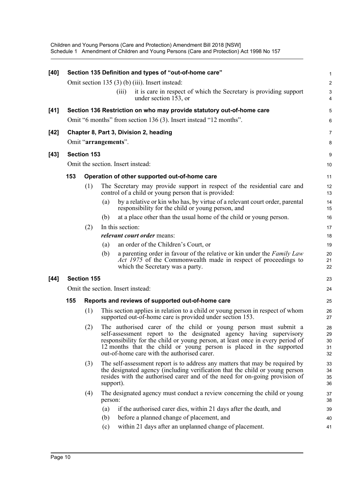| $[40]$ |     |                      |           | Section 135 Definition and types of "out-of-home care"                                                                                                                                                                                                                                                                                        | 1                          |
|--------|-----|----------------------|-----------|-----------------------------------------------------------------------------------------------------------------------------------------------------------------------------------------------------------------------------------------------------------------------------------------------------------------------------------------------|----------------------------|
|        |     |                      |           | Omit section 135 (3) (b) (iii). Insert instead:                                                                                                                                                                                                                                                                                               | $\overline{c}$             |
|        |     |                      |           | it is care in respect of which the Secretary is providing support<br>(iii)<br>under section 153, or                                                                                                                                                                                                                                           | 3<br>4                     |
| $[41]$ |     |                      |           | Section 136 Restriction on who may provide statutory out-of-home care                                                                                                                                                                                                                                                                         | 5                          |
|        |     |                      |           | Omit "6 months" from section 136 (3). Insert instead "12 months".                                                                                                                                                                                                                                                                             | 6                          |
| $[42]$ |     |                      |           | Chapter 8, Part 3, Division 2, heading                                                                                                                                                                                                                                                                                                        | 7                          |
|        |     | Omit "arrangements". |           |                                                                                                                                                                                                                                                                                                                                               | 8                          |
| $[43]$ |     | <b>Section 153</b>   |           |                                                                                                                                                                                                                                                                                                                                               | 9                          |
|        |     |                      |           | Omit the section. Insert instead:                                                                                                                                                                                                                                                                                                             | 10                         |
|        |     |                      |           |                                                                                                                                                                                                                                                                                                                                               |                            |
|        | 153 |                      |           | Operation of other supported out-of-home care                                                                                                                                                                                                                                                                                                 | 11                         |
|        |     | (1)                  |           | The Secretary may provide support in respect of the residential care and<br>control of a child or young person that is provided:                                                                                                                                                                                                              | 12<br>13                   |
|        |     |                      | (a)       | by a relative or kin who has, by virtue of a relevant court order, parental<br>responsibility for the child or young person, and                                                                                                                                                                                                              | 14<br>15                   |
|        |     |                      | (b)       | at a place other than the usual home of the child or young person.                                                                                                                                                                                                                                                                            | 16                         |
|        |     | (2)                  |           | In this section:                                                                                                                                                                                                                                                                                                                              | 17                         |
|        |     |                      |           | <i>relevant court order means:</i>                                                                                                                                                                                                                                                                                                            | 18                         |
|        |     |                      | (a)       | an order of the Children's Court, or                                                                                                                                                                                                                                                                                                          | 19                         |
|        |     |                      | (b)       | a parenting order in favour of the relative or kin under the Family Law<br>Act 1975 of the Commonwealth made in respect of proceedings to<br>which the Secretary was a party.                                                                                                                                                                 | 20<br>21<br>22             |
| $[44]$ |     | <b>Section 155</b>   |           |                                                                                                                                                                                                                                                                                                                                               | 23                         |
|        |     |                      |           | Omit the section. Insert instead:                                                                                                                                                                                                                                                                                                             | 24                         |
|        | 155 |                      |           | Reports and reviews of supported out-of-home care                                                                                                                                                                                                                                                                                             | 25                         |
|        |     | (1)                  |           | This section applies in relation to a child or young person in respect of whom<br>supported out-of-home care is provided under section 153.                                                                                                                                                                                                   | 26<br>27                   |
|        |     | (2)                  |           | The authorised carer of the child or young person must submit a<br>self-assessment report to the designated agency having supervisory<br>responsibility for the child or young person, at least once in every period of<br>12 months that the child or young person is placed in the supported<br>out-of-home care with the authorised carer. | 28<br>29<br>30<br>31<br>32 |
|        |     | (3)                  | support). | The self-assessment report is to address any matters that may be required by<br>the designated agency (including verification that the child or young person<br>resides with the authorised carer and of the need for on-going provision of                                                                                                   | 33<br>34<br>35<br>36       |
|        |     | (4)                  | person:   | The designated agency must conduct a review concerning the child or young                                                                                                                                                                                                                                                                     | 37<br>38                   |
|        |     |                      | (a)       | if the authorised carer dies, within 21 days after the death, and                                                                                                                                                                                                                                                                             | 39                         |
|        |     |                      | (b)       | before a planned change of placement, and                                                                                                                                                                                                                                                                                                     | 40                         |
|        |     |                      | (c)       | within 21 days after an unplanned change of placement.                                                                                                                                                                                                                                                                                        | 41                         |
|        |     |                      |           |                                                                                                                                                                                                                                                                                                                                               |                            |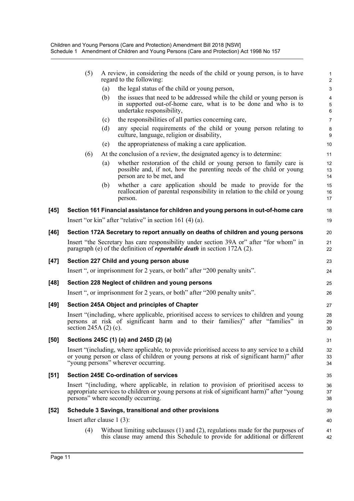|        | (5)                                           |     | A review, in considering the needs of the child or young person, is to have<br>regard to the following:                                                                                                                           | 1<br>$\overline{\mathbf{c}}$ |  |
|--------|-----------------------------------------------|-----|-----------------------------------------------------------------------------------------------------------------------------------------------------------------------------------------------------------------------------------|------------------------------|--|
|        |                                               | (a) | the legal status of the child or young person,                                                                                                                                                                                    | 3                            |  |
|        |                                               | (b) | the issues that need to be addressed while the child or young person is<br>in supported out-of-home care, what is to be done and who is to<br>undertake responsibility,                                                           | 4<br>5<br>6                  |  |
|        |                                               | (c) | the responsibilities of all parties concerning care,                                                                                                                                                                              | 7                            |  |
|        |                                               | (d) | any special requirements of the child or young person relating to<br>culture, language, religion or disability,                                                                                                                   | 8<br>9                       |  |
|        |                                               | (e) | the appropriateness of making a care application.                                                                                                                                                                                 | 10                           |  |
|        | (6)                                           |     | At the conclusion of a review, the designated agency is to determine:                                                                                                                                                             | 11                           |  |
|        |                                               | (a) | whether restoration of the child or young person to family care is<br>possible and, if not, how the parenting needs of the child or young<br>person are to be met, and                                                            | 12<br>13<br>14               |  |
|        |                                               | (b) | whether a care application should be made to provide for the<br>reallocation of parental responsibility in relation to the child or young<br>person.                                                                              | 15<br>16<br>17               |  |
| $[45]$ |                                               |     | Section 161 Financial assistance for children and young persons in out-of-home care                                                                                                                                               | 18                           |  |
|        |                                               |     | Insert "or kin" after "relative" in section 161 $(4)$ (a).                                                                                                                                                                        | 19                           |  |
| [46]   |                                               |     | Section 172A Secretary to report annually on deaths of children and young persons                                                                                                                                                 | 20                           |  |
|        |                                               |     | Insert "the Secretary has care responsibility under section 39A or" after "for whom" in<br>paragraph (e) of the definition of <i>reportable death</i> in section 172A (2).                                                        | 21<br>22                     |  |
| $[47]$ |                                               |     | Section 227 Child and young person abuse                                                                                                                                                                                          | 23                           |  |
|        |                                               |     | Insert ", or imprisonment for 2 years, or both" after "200 penalty units".                                                                                                                                                        | 24                           |  |
| [48]   |                                               |     | Section 228 Neglect of children and young persons                                                                                                                                                                                 | 25                           |  |
|        |                                               |     | Insert ", or imprisonment for 2 years, or both" after "200 penalty units".                                                                                                                                                        | 26                           |  |
| [49]   | Section 245A Object and principles of Chapter |     |                                                                                                                                                                                                                                   |                              |  |
|        | section $245A(2)$ (c).                        |     | Insert "(including, where applicable, prioritised access to services to children and young<br>persons at risk of significant harm and to their families)" after "families" in                                                     | 28<br>29<br>30               |  |
| [50]   |                                               |     | Sections 245C (1) (a) and 245D (2) (a)                                                                                                                                                                                            | 31                           |  |
|        |                                               |     | Insert "(including, where applicable, to provide prioritised access to any service to a child<br>or young person or class of children or young persons at risk of significant harm)" after<br>"young persons" wherever occurring. | 32<br>33<br>34               |  |
| [51]   |                                               |     | <b>Section 245E Co-ordination of services</b>                                                                                                                                                                                     | 35                           |  |
|        |                                               |     | Insert "(including, where applicable, in relation to provision of prioritised access to<br>appropriate services to children or young persons at risk of significant harm)" after "young<br>persons" where secondly occurring.     | 36<br>37<br>38               |  |
| $[52]$ |                                               |     | Schedule 3 Savings, transitional and other provisions                                                                                                                                                                             | 39                           |  |
|        | Insert after clause $1(3)$ :                  |     |                                                                                                                                                                                                                                   | 40                           |  |
|        | (4)                                           |     | Without limiting subclauses $(1)$ and $(2)$ , regulations made for the purposes of<br>this clause may amend this Schedule to provide for additional or different                                                                  | 41<br>42                     |  |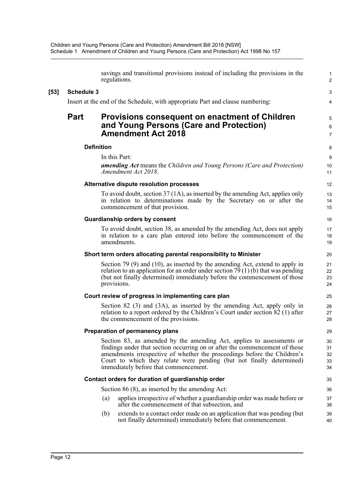|        |                   | savings and transitional provisions instead of including the provisions in the<br>regulations.                                                                                                                                                                                                                                                    | 1<br>$\overline{\mathbf{c}}$ |
|--------|-------------------|---------------------------------------------------------------------------------------------------------------------------------------------------------------------------------------------------------------------------------------------------------------------------------------------------------------------------------------------------|------------------------------|
| $[53]$ | <b>Schedule 3</b> |                                                                                                                                                                                                                                                                                                                                                   | 3                            |
|        |                   | Insert at the end of the Schedule, with appropriate Part and clause numbering:                                                                                                                                                                                                                                                                    | 4                            |
|        | <b>Part</b>       | <b>Provisions consequent on enactment of Children</b><br>and Young Persons (Care and Protection)<br><b>Amendment Act 2018</b>                                                                                                                                                                                                                     | 5<br>6<br>7                  |
|        |                   | <b>Definition</b>                                                                                                                                                                                                                                                                                                                                 | 8                            |
|        |                   | In this Part:                                                                                                                                                                                                                                                                                                                                     | 9                            |
|        |                   | <b>amending Act</b> means the Children and Young Persons (Care and Protection)<br>Amendment Act 2018.                                                                                                                                                                                                                                             | 10<br>11                     |
|        |                   | Alternative dispute resolution processes                                                                                                                                                                                                                                                                                                          | 12                           |
|        |                   | To avoid doubt, section 37 (1A), as inserted by the amending Act, applies only<br>in relation to determinations made by the Secretary on or after the<br>commencement of that provision.                                                                                                                                                          | 13<br>14<br>15               |
|        |                   | <b>Guardianship orders by consent</b>                                                                                                                                                                                                                                                                                                             | 16                           |
|        |                   | To avoid doubt, section 38, as amended by the amending Act, does not apply<br>in relation to a care plan entered into before the commencement of the<br>amendments.                                                                                                                                                                               | 17<br>18<br>19               |
|        |                   | Short term orders allocating parental responsibility to Minister                                                                                                                                                                                                                                                                                  | 20                           |
|        |                   | Section 79 $(9)$ and $(10)$ , as inserted by the amending Act, extend to apply in<br>relation to an application for an order under section $79(1)(b)$ that was pending<br>(but not finally determined) immediately before the commencement of those<br>provisions.                                                                                | 21<br>22<br>23<br>24         |
|        |                   | Court review of progress in implementing care plan                                                                                                                                                                                                                                                                                                | 25                           |
|        |                   | Section 82 (3) and (3A), as inserted by the amending Act, apply only in<br>relation to a report ordered by the Children's Court under section 82 (1) after<br>the commencement of the provisions.                                                                                                                                                 | 26<br>27<br>28               |
|        |                   | Preparation of permanency plans                                                                                                                                                                                                                                                                                                                   | 29                           |
|        |                   | Section 83, as amended by the amending Act, applies to assessments or<br>findings under that section occurring on or after the commencement of those<br>amendments irrespective of whether the proceedings before the Children's<br>Court to which they relate were pending (but not finally determined)<br>immediately before that commencement. | 30<br>31<br>32<br>33<br>34   |
|        |                   | Contact orders for duration of guardianship order                                                                                                                                                                                                                                                                                                 | 35                           |
|        |                   | Section $86(8)$ , as inserted by the amending Act:                                                                                                                                                                                                                                                                                                | 36                           |
|        |                   | applies irrespective of whether a guardianship order was made before or<br>(a)<br>after the commencement of that subsection, and                                                                                                                                                                                                                  | 37<br>38                     |
|        |                   | extends to a contact order made on an application that was pending (but<br>(b)<br>not finally determined) immediately before that commencement.                                                                                                                                                                                                   | 39<br>40                     |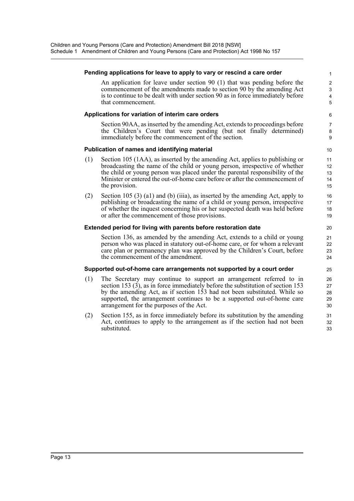# **Pending applications for leave to apply to vary or rescind a care order** 1 An application for leave under section 90 (1) that was pending before the 2 commencement of the amendments made to section 90 by the amending Act 3 is to continue to be dealt with under section 90 as in force immediately before 4 that commencement. 5 **Applications for variation of interim care orders** 6 Section 90AA, as inserted by the amending Act, extends to proceedings before 7 the Children's Court that were pending (but not finally determined) 8 immediately before the commencement of the section. 9 **Publication of names and identifying material discussion of the state of the state of the state of the state of the state of the state of the state of the state of the state of the state of the state of the state of the s** (1) Section 105 (1AA), as inserted by the amending Act, applies to publishing or 11 broadcasting the name of the child or young person, irrespective of whether 12 the child or young person was placed under the parental responsibility of the 13 Minister or entered the out-of-home care before or after the commencement of 14 the provision. 15 (2) Section 105 (3) (a1) and (b) (iiia), as inserted by the amending Act, apply to 16 publishing or broadcasting the name of a child or young person, irrespective 17 of whether the inquest concerning his or her suspected death was held before 18 or after the commencement of those provisions. 19 **Extended period for living with parents before restoration date** 20 Section 136, as amended by the amending Act, extends to a child or young 21 person who was placed in statutory out-of-home care, or for whom a relevant 22 care plan or permanency plan was approved by the Children's Court, before 23 the commencement of the amendment. 24 **Supported out-of-home care arrangements not supported by a court order** 25 (1) The Secretary may continue to support an arrangement referred to in 26 section 153 (3), as in force immediately before the substitution of section 153 27 by the amending Act, as if section 153 had not been substituted. While so 28 supported, the arrangement continues to be a supported out-of-home care 29 arrangement for the purposes of the Act. 30 (2) Section 155, as in force immediately before its substitution by the amending 31 Act, continues to apply to the arrangement as if the section had not been 32 substituted.  $\qquad \qquad \qquad \text{33}$